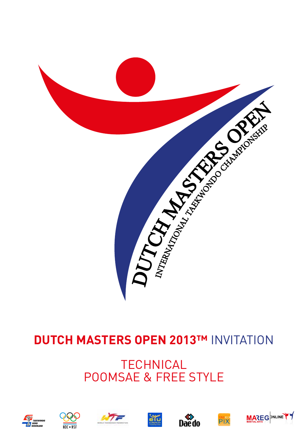

# **DUTCH MASTERS OPEN 2013™ INVITATION**

# **TECHNICAL** POOMSAE & FREE STYLE













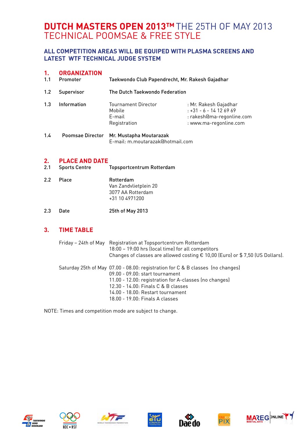# **Dutch Masters Open 2013™**The 25th of May 2013 technical poomsae & free style

### **ALL COMPETITION AREAS WILL BE EQUIPED WITH PLASMA SCREENS AND LATEST WTF TECHNICAL JUDGE SYSTEM**

## **1. Organization**

| 1.1 | Promoter    | Taekwondo Club Papendrecht, Mr. Rakesh Gajadhar                |                                                                                                        |
|-----|-------------|----------------------------------------------------------------|--------------------------------------------------------------------------------------------------------|
| 1.2 | Supervisor  | The Dutch Taekwondo Federation                                 |                                                                                                        |
| 1.3 | Information | <b>Tournament Director</b><br>Mobile<br>E-mail<br>Registration | : Mr. Rakesh Gajadhar<br>$: +31 - 6 - 14126969$<br>: rakesh@ma-regonline.com<br>: www.ma-regonline.com |

#### 1.4 Poomsae Director Mr. Mustapha Moutarazak E-mail: m.moutarazak@hotmail.com

# **2. PLACE AND DATE**<br>2.1 Sports Centre

- Topsportcentrum Rotterdam
- 2.2 Place Rotterdam Van Zandvlietplein 20 3077 AA Rotterdam +31 10 4971200
- 2.3 Date 25th of May 2013

### **3. Time Table**

| Friday – 24th of May Registration at Topsportcentrum Rotterdam<br>18:00 - 19:00 hrs (local time) for all competitors<br>Changes of classes are allowed costing € 10,00 (Euro) or \$7,50 (US Dollars).                                                                                       |
|---------------------------------------------------------------------------------------------------------------------------------------------------------------------------------------------------------------------------------------------------------------------------------------------|
| Saturday 25th of May 07.00 - 08.00: registration for C & B classes (no changes)<br>09.00 - 09.00: start tournament<br>11.00 - 12.00: registration for A-classes (no changes)<br>12.30 - 14.00: Finals C & B classes<br>14.00 - 18.00: Restart tournament<br>18.00 - 19.00: Finals A classes |

NOTE: Times and competition mode are subject to change.













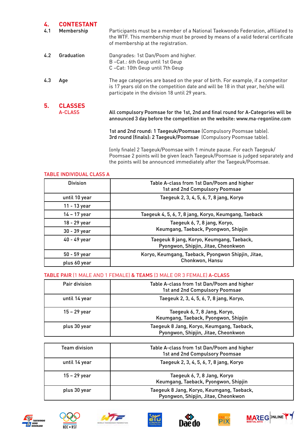| 4.  | <b>CONTESTANT</b> |                                                                                                                                                                                                          |
|-----|-------------------|----------------------------------------------------------------------------------------------------------------------------------------------------------------------------------------------------------|
| 4.1 | Membership        | Participants must be a member of a National Taekwondo Federation, affiliated to<br>the WTF. This membership must be proved by means of a valid federal certificate<br>of membership at the registration. |
| 4.2 | Graduation        | Dangrades: 1st Dan/Poom and higher.                                                                                                                                                                      |
|     |                   | B-Cat.: 6th Geup until 1st Geup                                                                                                                                                                          |
|     |                   | C-Cat: 10th Geup until 7th Geup                                                                                                                                                                          |
| 4.3 | Age               | The age categories are based on the year of birth. For example, if a competitor                                                                                                                          |
|     |                   | is 17 years old on the competition date and will be 18 in that year, he/she will<br>participate in the division 18 until 29 years.                                                                       |
| 5.  | <b>CLASSES</b>    |                                                                                                                                                                                                          |
|     | A-CLASS           | All compulsory Poomsae for the 1st, 2nd and final round for A-Categories will be<br>announced 3 day before the competition on the website: www.ma-regonline.com                                          |
|     |                   | 1st and 2nd round: 1 Taegeuk/Poomsae (Compulsory Poomsae table).<br>3rd round (finals): 2 Taegeuk/Poomsae (Compulsory Poomsae table).                                                                    |
|     |                   | $\{\circ\}$ finale) 2 Taegeuk/Poomsae with 1 minute pause. For each Taegeuk/                                                                                                                             |

 (only finale) 2 Taegeuk/Poomsae with 1 minute pause. For each Taegeuk/ Poomsae 2 points will be given (each Taegeuk/Poomsae is judged separately and the points will be announced immediately after the Taegeuk/Poomsae.

#### Table Individual class A

| <b>Division</b> | Table A-class from 1st Dan/Poom and higher<br>1st and 2nd Compulsory Poomsae     |
|-----------------|----------------------------------------------------------------------------------|
| until 10 year   | Taegeuk 2, 3, 4, 5, 6, 7, 8 jang, Koryo                                          |
| 11 - 13 year    |                                                                                  |
| 14 – 17 year    | Taegeuk 4, 5, 6, 7, 8 jang, Koryo, Keumgang, Taeback                             |
| 18 - 29 year    | Taegeuk 6, 7, 8 jang, Koryo,                                                     |
| 30 - 39 year    | Keumgang, Taeback, Pyongwon, Shipjin                                             |
| 40 - 49 year    | Taegeuk 8 jang, Koryo, Keumgang, Taeback,<br>Pyongwon, Shipjin, Jitae, Cheonkwon |
| 50 - 59 year    | Koryo, Keumgang, Taeback, Pyongwon Shipjin, Jitae,                               |
| plus 60 year    | Chonkwon, Hansu                                                                  |

#### Table Pair (1 male and 1 female) & Teams (3 male or 3 female) A-class

| Pair division | Table A-class from 1st Dan/Poom and higher<br>1st and 2nd Compulsory Poomsae     |
|---------------|----------------------------------------------------------------------------------|
| until 14 year | Taegeuk 2, 3, 4, 5, 6, 7, 8 jang, Koryo,                                         |
| 15 - 29 year  | Taegeuk 6, 7, 8 Jang, Koryo,<br>Keumgang, Taeback, Pyongwon, Shipjin             |
| plus 30 year  | Taegeuk 8 Jang, Koryo, Keumgang, Taeback,<br>Pyongwon, Shipjin, Jitae, Cheonkwon |

| <b>Team division</b> | Table A-class from 1st Dan/Poom and higher<br>1st and 2nd Compulsory Poomsae     |
|----------------------|----------------------------------------------------------------------------------|
| until 14 year        | Taegeuk 2, 3, 4, 5, 6, 7, 8 jang, Koryo                                          |
| 15 – 29 year         | Taegeuk 6, 7, 8 Jang, Koryo<br>Keumgang, Taeback, Pyongwon, Shipjin              |
| plus 30 year         | Taegeuk 8 Jang, Koryo, Keumgang, Taeback,<br>Pyongwon, Shipjin, Jitae, Cheonkwon |













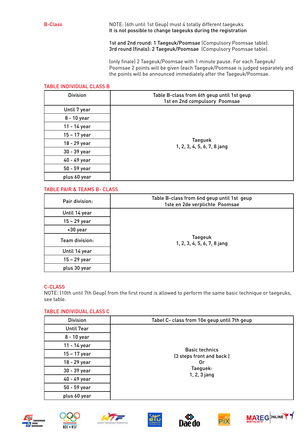B-Class NOTE: (6th until 1st Geup) must 4 totally different taegeuks It is not possible to change taegeuks during the registration

> 1st and 2nd round: 1 Taegeuk/Poomsae (Compulsory Poomsae table). 3rd round (finals): 2 Taegeuk/Poomsae (Compulsory Poomsae table).

 (only finale) 2 Taegeuk/Poomsae with 1 minute pause. For each Taegeuk/ Poomsae 2 points will be given (each Taegeuk/Poomsae is judged separately and the points will be announced immediately after the Taegeuk/Poomsae.

#### Table Individual class B

| <b>Division</b> | Table B-class from 6th geup until 1st geup<br>1st en 2nd compulsory Poomsae |
|-----------------|-----------------------------------------------------------------------------|
| Until 7 year    |                                                                             |
| 8 - 10 year     |                                                                             |
| 11 - 14 year    |                                                                             |
| 15 – 17 year    |                                                                             |
| 18 - 29 year    | <b>Taeguek</b><br>1, 2, 3, 4, 5, 6, 7, 8 jang                               |
| 30 - 39 year    |                                                                             |
| 40 - 49 year    |                                                                             |
| 50 - 59 year    |                                                                             |
| plus 60 year    |                                                                             |

#### Table pair & Teams B- class

| Pair division: | Table B-class from 6nd geup until 1st geup<br>1ste en 2de verplichte Poomsae |
|----------------|------------------------------------------------------------------------------|
| Until 14 year  |                                                                              |
| 15 - 29 year   |                                                                              |
| +30 year       | <b>Taegeuk</b><br>1, 2, 3, 4, 5, 6, 7, 8 jang                                |
| Team division: |                                                                              |
| Until 14 year  |                                                                              |
| 15 - 29 year   |                                                                              |
| plus 30 year   |                                                                              |

#### C-Class

NOTE: (10th until 7th Geup) from the first round is allowed to perform the same basic technique or taegeuks, see table.

#### Table Individual class C

| <b>Division</b> | Tabel C- class from 10e geup until 7th geup       |
|-----------------|---------------------------------------------------|
| Until 7ear      |                                                   |
| 8 - 10 year     |                                                   |
| 11 - 14 year    |                                                   |
| 15 - 17 year    | <b>Basic technics</b><br>(3 steps front and back) |
| 18 - 29 year    | 0r                                                |
| 30 - 39 year    | Taeguek:<br>1, 2, 3 jang                          |
| 40 - 49 year    |                                                   |
| 50 - 59 year    |                                                   |
| plus 60 year    |                                                   |













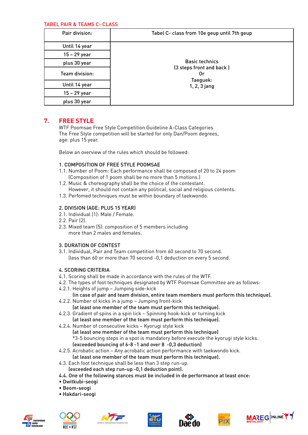#### Tabel Pair & Teams C- class

| Pair division: | Tabel C- class from 10e geup until 7th geup                |
|----------------|------------------------------------------------------------|
| Until 14 year  |                                                            |
| 15 - 29 year   |                                                            |
| plus 30 year   | <b>Basic technics</b>                                      |
| Team division: | (3 steps front and back)<br>0r<br>Taeguek:<br>1, 2, 3 jang |
| Until 14 year  |                                                            |
| 15 - 29 year   |                                                            |
| plus 30 year   |                                                            |

### **7. Free Style**

 WTF Poomsae Free Style Competition Guideline A-Class Categories The Free Style competition will be started for only Dan/Poom degrees, age: plus 15 year.

Below an overview of the rules which should be followed:

#### 1. Composition of Free Style Poomsae

- 1.1. Number of Poom: Each performance shall be composed of 20 to 24 poom (Composition of 1 poom shall be no more than 5 motions.)
- 1.2. Music & choreography shall be the choice of the contestant. However, it should not contain any political, social and religious contents.
- 1.3. Perfomed techniques must be within boundary of taekwondo.

#### 2. Division (age: plus 15 year)

- 2.1. Individual (1): Male / Female.
- 2.2. Pair (2).
- 2.3. Mixed team (5): composition of 5 members including more than 2 males and females.

#### 3. Duration of Contest

3.1. Individual, Pair and Team competition from 60 second to 70 second. (less than 60 or more than 70 second -0,1 deduction on every 5 second.

#### 4. Scoring Criteria

- 4.1. Scoring shall be made in accordance with the rules of the WTF.
- 4.2. The types of foot techniques designated by WTF Poomsae Committee are as follows:
- 4.2.1. Heights of jump Jumping side-kick

#### (in case of pair and team division, entire team members must perform this technique).

- 4.2.2. Number of kicks in a jump Jumping front-kick (at least one member of the team must perform this technique).
- 4.2.3. Gradient of spins in a spin lick Spinning hook-kick or turning kick (at least one member of the team must perform this technique).
- 4.2.4. Number of consecutive kicks Kyorugi style kick

(at least one member of the team must perform this technique) \*3-5 bouncing steps in a spot is mandatory before execute the kyorugi style kicks. (exceeded bouncing of 6-8 -1 and over 8 -0,3 deduction)

- 4.2.5. Acrobatic action Any acrobatic action performance with taekwondo kick. (at least one member of the team must perform this technique).
- 4.3. Each foot technique shall be less than 3 step run-up.
- (exceeded each step run-up -0,1 deduction point).
- 4.4. One of the following stances must be included in de performance at least once:
- Dwitkubi-seogi
- Beom-seogi
- Hakdari-seogi